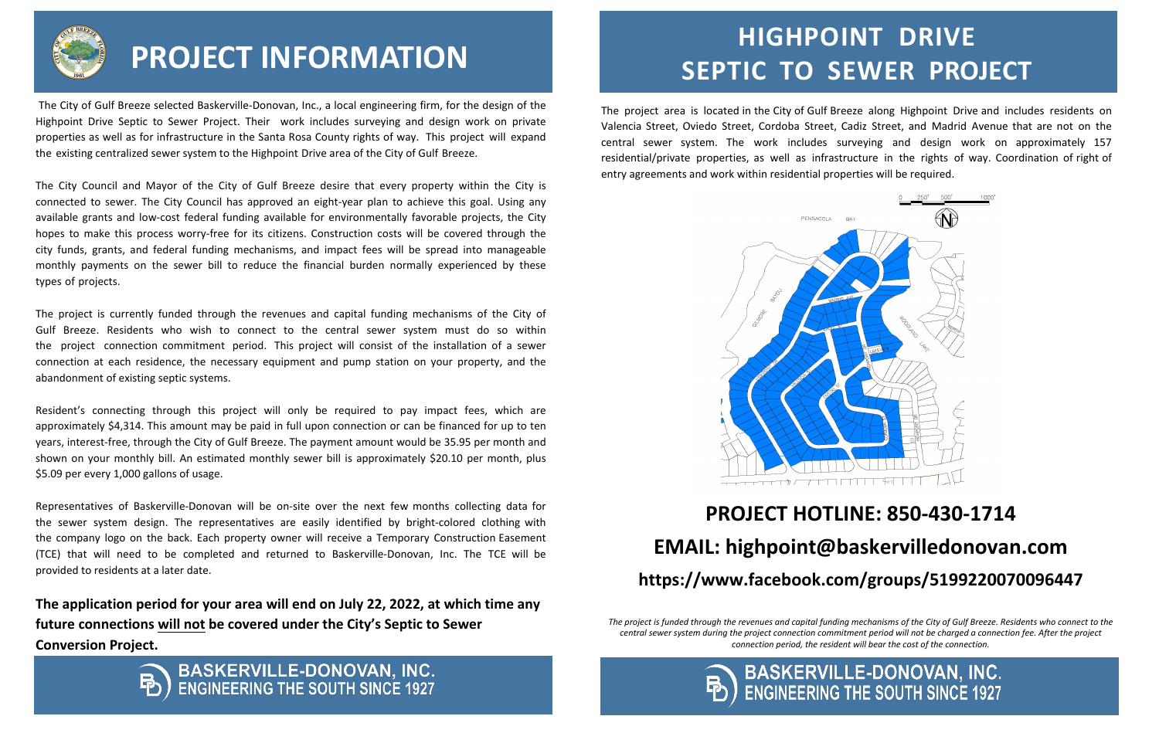The project area is located in the City of Gulf Breeze along Highpoint Drive and includes residents on Valencia Street, Oviedo Street, Cordoba Street, Cadiz Street, and Madrid Avenue that are not on the central sewer system. The work includes surveying and design work on approximately 157 residential/private properties, as well as infrastructure in the rights of way. Coordination of right of entry agreements and work within residential properties will be required.



## **HIGHPOINT DRIVE SEPTIC TO SEWER PROJECT INFORMATION SEPTIC** TO SEWER PROJECT

### **PROJECT HOTLINE: 850-430-1714 EMAIL: highpoint@baskervilledonovan.com https://www.facebook.com/groups/5199220070096447**

*The project is funded through the revenues and capital funding mechanisms of the City of Gulf Breeze. Residents who connect to the central sewer system during the project connection commitment period will not be charged a connection fee. After the project connection period, the resident will bear the cost of the connection.*



# **BASKERVILLE-DONOVAN, INC.**<br>ENGINEERING THE SOUTH SINCE 1927



 The City of Gulf Breeze selected Baskerville-Donovan, Inc., a local engineering firm, for the design of the Highpoint Drive Septic to Sewer Project. Their work includes surveying and design work on private properties as well as for infrastructure in the Santa Rosa County rights of way. This project will expand the existing centralized sewer system to the Highpoint Drive area of the City of Gulf Breeze.

The City Council and Mayor of the City of Gulf Breeze desire that every property within the City is connected to sewer. The City Council has approved an eight-year plan to achieve this goal. Using any available grants and low-cost federal funding available for environmentally favorable projects, the City hopes to make this process worry-free for its citizens. Construction costs will be covered through the city funds, grants, and federal funding mechanisms, and impact fees will be spread into manageable monthly payments on the sewer bill to reduce the financial burden normally experienced by these types of projects.

The project is currently funded through the revenues and capital funding mechanisms of the City of Gulf Breeze. Residents who wish to [connect to the central sewer system must](https://www.facebook.com/groups/RESTORESOUNDSIDE) do so within the project connection commitment period. This project will consist of the installation of a sewer connection at each residence, the necessary equipment and pump station on your property, and the abandonment of existing septic systems.

Resident's connecting through this project will only be required to pay impact fees, which are approximately \$4,314. This amount may be paid in full upon connection or can be financed for up to ten years, interest-free, through the City of Gulf Breeze. The payment amount would be 35.95 per month and shown on your monthly bill. An estimated monthly sewer bill is approximately \$20.10 per month, plus \$5.09 per every 1,000 gallons of usage.

Representatives of Baskerville-Donovan will be on-site over the next few months collecting data for the sewer system design. The representatives are easily identified by bright-colored clothing with the company logo on the back. Each property owner will receive a Temporary Construction Easement (TCE) that will need to be completed and returned to Baskerville-Donovan, Inc. The TCE will be provided to residents at a later date.

**The application period for your area will end on July 22, 2022, at which time any future connections will not be covered under the City's Septic to Sewer Conversion Project.**